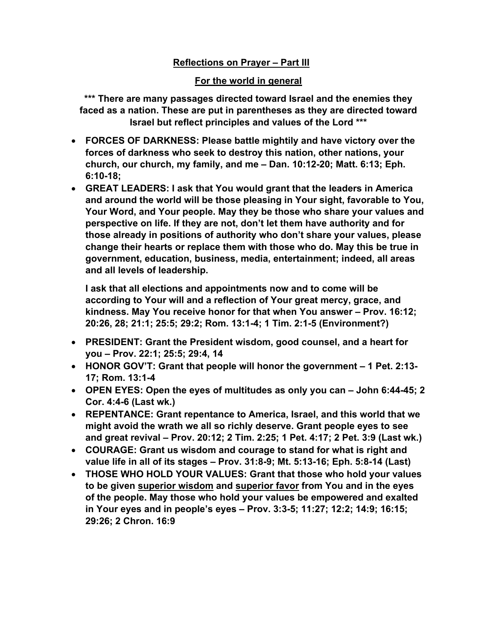## **Reflections on Prayer – Part III**

## **For the world in general**

**\*\*\* There are many passages directed toward Israel and the enemies they faced as a nation. These are put in parentheses as they are directed toward Israel but reflect principles and values of the Lord \*\*\***

- **FORCES OF DARKNESS: Please battle mightily and have victory over the forces of darkness who seek to destroy this nation, other nations, your church, our church, my family, and me – Dan. 10:12-20; Matt. 6:13; Eph. 6:10-18;**
- **GREAT LEADERS: I ask that You would grant that the leaders in America and around the world will be those pleasing in Your sight, favorable to You, Your Word, and Your people. May they be those who share your values and perspective on life. If they are not, don't let them have authority and for those already in positions of authority who don't share your values, please change their hearts or replace them with those who do. May this be true in government, education, business, media, entertainment; indeed, all areas and all levels of leadership.**

**I ask that all elections and appointments now and to come will be according to Your will and a reflection of Your great mercy, grace, and kindness. May You receive honor for that when You answer – Prov. 16:12; 20:26, 28; 21:1; 25:5; 29:2; Rom. 13:1-4; 1 Tim. 2:1-5 (Environment?)**

- **PRESIDENT: Grant the President wisdom, good counsel, and a heart for you – Prov. 22:1; 25:5; 29:4, 14**
- **HONOR GOV'T: Grant that people will honor the government – 1 Pet. 2:13- 17; Rom. 13:1-4**
- **OPEN EYES: Open the eyes of multitudes as only you can – John 6:44-45; 2 Cor. 4:4-6 (Last wk.)**
- **REPENTANCE: Grant repentance to America, Israel, and this world that we might avoid the wrath we all so richly deserve. Grant people eyes to see and great revival – Prov. 20:12; 2 Tim. 2:25; 1 Pet. 4:17; 2 Pet. 3:9 (Last wk.)**
- **COURAGE: Grant us wisdom and courage to stand for what is right and value life in all of its stages – Prov. 31:8-9; Mt. 5:13-16; Eph. 5:8-14 (Last)**
- **THOSE WHO HOLD YOUR VALUES: Grant that those who hold your values to be given superior wisdom and superior favor from You and in the eyes of the people. May those who hold your values be empowered and exalted in Your eyes and in people's eyes – Prov. 3:3-5; 11:27; 12:2; 14:9; 16:15; 29:26; 2 Chron. 16:9**